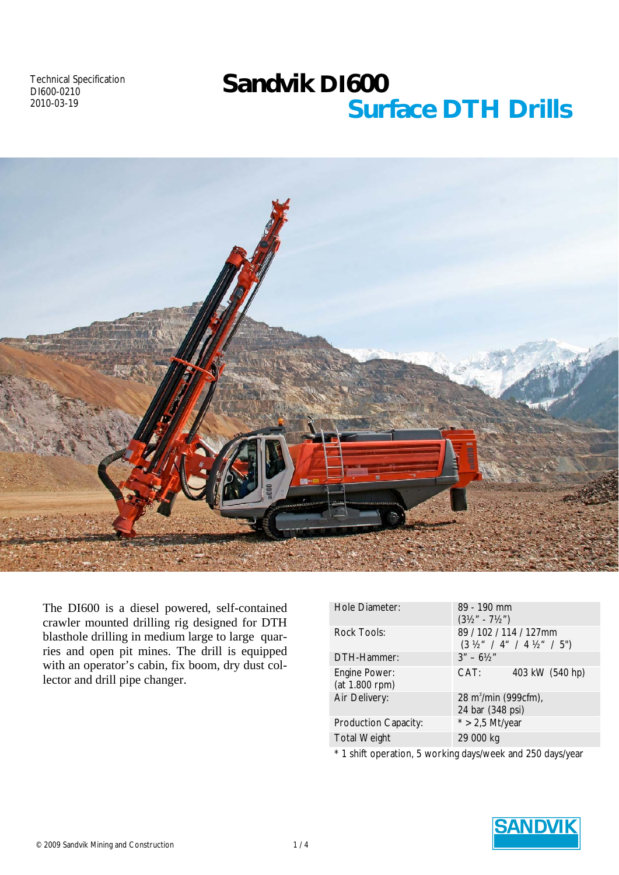Technical Specification DI600-0210 2010-03-19

# *Sandvik DI600 Surface DTH Drills*



The DI600 is a diesel powered, self-contained crawler mounted drilling rig designed for DTH blasthole drilling in medium large to large quarries and open pit mines. The drill is equipped with an operator's cabin, fix boom, dry dust collector and drill pipe changer.

| Hole Diameter:                  | 89 - 190 mm<br>$(3\frac{1}{2}$ " - 7½")                                     |
|---------------------------------|-----------------------------------------------------------------------------|
| <b>Rock Tools:</b>              | 89 / 102 / 114 / 127mm<br>$(3 \frac{1}{2}$ " / 4" / 4 $\frac{1}{2}$ " / 5") |
| DTH-Hammer:                     | $3'' - 6\frac{1}{2}$                                                        |
| Engine Power:<br>(at 1.800 rpm) | 403 kW (540 hp)<br>CAT:                                                     |
| Air Delivery:                   | 28 m <sup>3</sup> /min (999cfm),<br>24 bar (348 psi)                        |
| <b>Production Capacity:</b>     | $*$ > 2,5 Mt/year                                                           |
| <b>Total Weight</b>             | 29 000 kg                                                                   |
|                                 | $*$ 1 chift operation $\overline{F}$ working days work and 250 days were    |

1 shift operation, 5 working days/week and 250 days/year

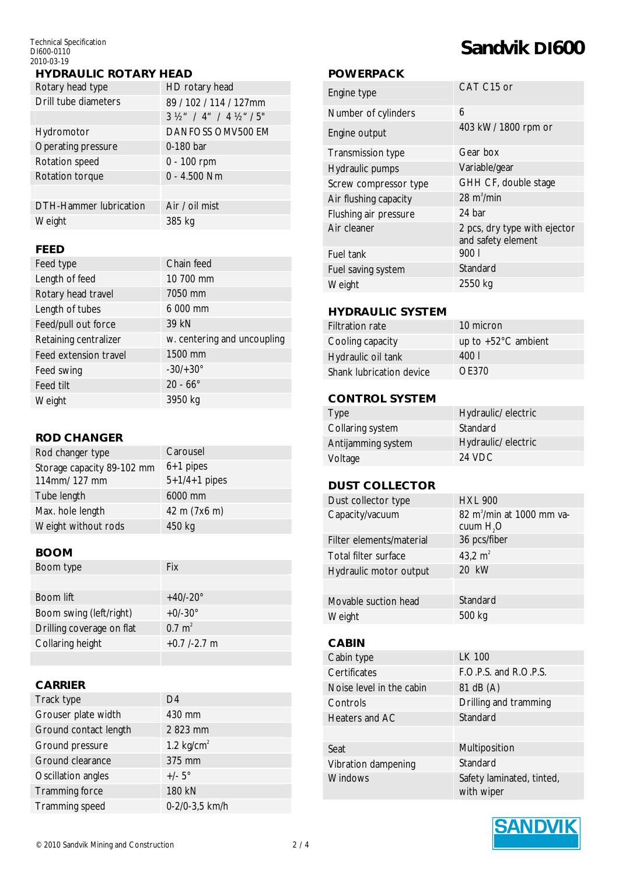Technical Specification DI600-0110 2010-03-19

#### *HYDRAULIC ROTARY HEAD*

| Rotary head type              | HD rotary head                             |
|-------------------------------|--------------------------------------------|
| Drill tube diameters          | 89 / 102 / 114 / 127mm                     |
|                               | $3\frac{1}{2}$ / 4" / 4 $\frac{1}{2}$ / 5" |
| Hydromotor                    | <b>DANFOSS OMV500 EM</b>                   |
| Operating pressure            | 0-180 bar                                  |
| Rotation speed                | $0 - 100$ rpm                              |
| Rotation torque               | $0 - 4.500$ Nm                             |
|                               |                                            |
| <b>DTH-Hammer lubrication</b> | Air / oil mist                             |
| Weight                        | 385 kg                                     |

#### *FEED*

| Feed type             | Chain feed                  |
|-----------------------|-----------------------------|
| Length of feed        | 10 700 mm                   |
| Rotary head travel    | 7050 mm                     |
| Length of tubes       | 6 000 mm                    |
| Feed/pull out force   | 39 kN                       |
| Retaining centralizer | w. centering and uncoupling |
| Feed extension travel | 1500 mm                     |
| Feed swing            | $-30/ + 30^{\circ}$         |
| Feed tilt             | $20 - 66^{\circ}$           |
| Weight                | 3950 kg                     |

#### *ROD CHANGER*

| Rod changer type                           | Carousel                       |
|--------------------------------------------|--------------------------------|
| Storage capacity 89-102 mm<br>114mm/127 mm | $6+1$ pipes<br>$5+1/4+1$ pipes |
| Tube length                                | 6000 mm                        |
| Max. hole length                           | 42 m (7x6 m)                   |
| Weight without rods                        | 450 kg                         |

#### *BOOM*

| Boom type                 | Fix               |
|---------------------------|-------------------|
|                           |                   |
| Boom lift                 | $+40/-20^{\circ}$ |
| Boom swing (left/right)   | $+0/-30^{\circ}$  |
| Drilling coverage on flat | $0.7 \text{ m}^2$ |
| Collaring height          | $+0.7$ /-2.7 m    |
|                           |                   |

### *CARRIER*

| Track type            | D4             |
|-----------------------|----------------|
| Grouser plate width   | 430 mm         |
| Ground contact length | 2 823 mm       |
| Ground pressure       | 1.2 $kg/cm2$   |
| Ground clearance      | 375 mm         |
| Oscillation angles    | $+/-5^\circ$   |
| <b>Tramming force</b> | 180 kN         |
| Tramming speed        | 0-2/0-3,5 km/h |

# *Sandvik DI600*

#### *POWERPACK*

| Engine type              | CAT C15 or                                         |
|--------------------------|----------------------------------------------------|
| Number of cylinders      | 6                                                  |
| Engine output            | 403 kW/ 1800 rpm or                                |
| <b>Transmission type</b> | Gear box                                           |
| Hydraulic pumps          | Variable/gear                                      |
| Screw compressor type    | GHH CF, double stage                               |
| Air flushing capacity    | 28 $m3/min$                                        |
| Flushing air pressure    | 24 bar                                             |
| Air cleaner              | 2 pcs, dry type with ejector<br>and safety element |
| Fuel tank                | 9001                                               |
| Fuel saving system       | Standard                                           |
| Weight                   | 2550 kg                                            |
|                          |                                                    |

#### *HYDRAULIC SYSTEM*

Filtration rate 10 micron Cooling capacity up to +52°C ambient Hydraulic oil tank 400 l Shank lubrication device OE370

#### *CONTROL SYSTEM*

| Type               | Hydraulic/electric |
|--------------------|--------------------|
| Collaring system   | Standard           |
| Antijamming system | Hydraulic/electric |
| Voltage            | 24 VDC             |

#### *DUST COLLECTOR*

| Dust collector type      | <b>HXL 900</b>                                      |
|--------------------------|-----------------------------------------------------|
| Capacity/vacuum          | 82 m <sup>3</sup> /min at 1000 mm va-<br>cuum $H2O$ |
| Filter elements/material | 36 pcs/fiber                                        |
| Total filter surface     | 43,2 $m2$                                           |
| Hydraulic motor output   | 20 kW                                               |
|                          |                                                     |
| Movable suction head     | Standard                                            |
| Weight                   | 500 kg                                              |
|                          |                                                     |

## *CABIN*

| Cabin type               | LK 100                                  |
|--------------------------|-----------------------------------------|
| Certificates             | F.O.P.S. and R.O.P.S.                   |
| Noise level in the cabin | 81 dB (A)                               |
| Controls                 | Drilling and tramming                   |
| Heaters and AC           | Standard                                |
|                          |                                         |
| Seat                     | Multiposition                           |
| Vibration dampening      | Standard                                |
| <b>Windows</b>           | Safety laminated, tinted,<br>with wiper |

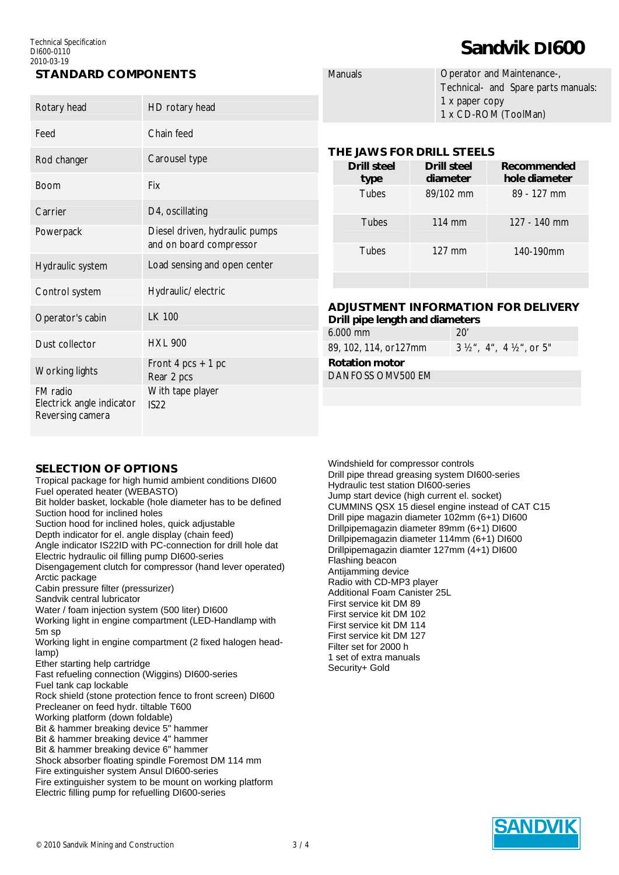#### Technical Specification DI600-0110 2010-03-19

### *STANDARD COMPONENTS*

| Rotary head                                               | HD rotary head                                            |          |
|-----------------------------------------------------------|-----------------------------------------------------------|----------|
| Feed                                                      | Chain feed                                                |          |
| Rod changer                                               | Carousel type                                             | Τ        |
| <b>Boom</b>                                               | Fix                                                       |          |
| Carrier                                                   | D4, oscillating                                           |          |
| Powerpack                                                 | Diesel driven, hydraulic pumps<br>and on board compressor |          |
| Hydraulic system                                          | Load sensing and open center                              |          |
| Control system                                            | Hydraulic/ electric                                       |          |
| Operator's cabin                                          | LK 100                                                    | А<br>D   |
| Dust collector                                            | <b>HXL 900</b>                                            | 6.<br>89 |
| <b>Working lights</b>                                     | Front 4 pcs $+$ 1 pc<br>Rear 2 pcs                        | R<br>D   |
| FM radio<br>Electrick angle indicator<br>Reversing camera | With tape player<br>IS22                                  |          |

| <b>Manuals</b> | Operator and Maintenance-,          |
|----------------|-------------------------------------|
|                | Technical- and Spare parts manuals: |
|                | 1 x paper copy                      |
|                | 1 x CD-ROM (ToolMan)                |

*Sandvik DI600*

#### *THE JAWS FOR DRILL STEELS*

| Drill steel<br>type | Drill steel<br>diameter | Recommended<br>hole diameter |
|---------------------|-------------------------|------------------------------|
| <b>Tubes</b>        | 89/102 mm               | 89 - 127 mm                  |
| <b>Tubes</b>        | 114 mm                  | 127 - 140 mm                 |
| <b>Tubes</b>        | $127 \text{ mm}$        | 140-190mm                    |
|                     |                         |                              |

# *ADJUSTMENT INFORMATION FOR DELIVERY*

| Drill pipe length and diameters |                                                |  |  |  |
|---------------------------------|------------------------------------------------|--|--|--|
| $6.000$ mm                      | 20'                                            |  |  |  |
| 89, 102, 114, or127mm           | $3 \frac{1}{2}$ , 4", 4 $\frac{1}{2}$ ", or 5" |  |  |  |
| <b>Rotation motor</b>           |                                                |  |  |  |
| DANEOSS OMV500 FM               |                                                |  |  |  |

#### *SELECTION OF OPTIONS*

Tropical package for high humid ambient conditions DI600 Fuel operated heater (WEBASTO)

Bit holder basket, lockable (hole diameter has to be defined Suction hood for inclined holes

Suction hood for inclined holes, quick adjustable

Depth indicator for el. angle display (chain feed)

Angle indicator IS22ID with PC-connection for drill hole dat

Electric hydraulic oil filling pump DI600-series

Disengagement clutch for compressor (hand lever operated) Arctic package

Cabin pressure filter (pressurizer)

Sandvik central lubricator

Water / foam injection system (500 liter) DI600

Working light in engine compartment (LED-Handlamp with 5m sp

Working light in engine compartment (2 fixed halogen headlamp)

Ether starting help cartridge

Fast refueling connection (Wiggins) DI600-series

Fuel tank cap lockable Rock shield (stone protection fence to front screen) DI600

Precleaner on feed hydr. tiltable T600

Working platform (down foldable)

Bit & hammer breaking device 5" hammer

Bit & hammer breaking device 4" hammer

Bit & hammer breaking device 6" hammer

Shock absorber floating spindle Foremost DM 114 mm

Fire extinguisher system Ansul DI600-series

Fire extinguisher system to be mount on working platform

Electric filling pump for refuelling DI600-series

Windshield for compressor controls Drill pipe thread greasing system DI600-series Hydraulic test station DI600-series Jump start device (high current el. socket) CUMMINS QSX 15 diesel engine instead of CAT C15 Drill pipe magazin diameter 102mm (6+1) DI600 Drillpipemagazin diameter 89mm (6+1) DI600 Drillpipemagazin diameter 114mm (6+1) DI600 Drillpipemagazin diamter 127mm (4+1) DI600 Flashing beacon Antijamming device Radio with CD-MP3 player Additional Foam Canister 25L First service kit DM 89 First service kit DM 102 First service kit DM 114 First service kit DM 127 Filter set for 2000 h 1 set of extra manuals Security+ Gold